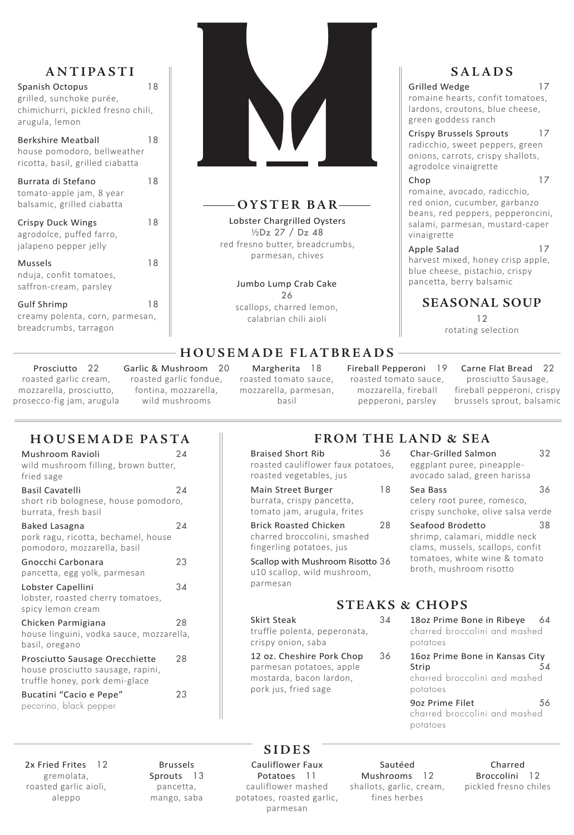### **ANTIPASTI**

| <b>Spanish Octopus</b>             |    |
|------------------------------------|----|
| grilled, sunchoke purée,           |    |
| chimichurri, pickled fresno chili, |    |
| arugula, lemon                     |    |
| <b>Berkshire Meatball</b>          | 18 |
| house pomodoro, bellweather        |    |
| ricotta, basil, grilled ciabatta   |    |

Gulf Shrimp 18 creamy polenta, corn, parmesan, breadcrumbs, tarragon



Burrata di Stefano 18 tomato-apple jam, 8 year balsamic, grilled ciabatta Crispy Duck Wings 18 agrodolce, puffed farro,

jalapeno pepper jelly Mussels 18 nduja, confit tomatoes, saffron-cream, parsley

**H O U S E M A D E F L AT B R E A D S** 

Grilled Wedge 17 romaine hearts, confit tomatoes, lardons, croutons, blue cheese, green goddess ranch

Prosciutto 22 roasted garlic cream, mozzarella, prosciutto, prosecco-fig jam, arugula

Garlic & Mushroom 20 roasted garlic fondue, fontina, mozzarella, wild mushrooms

Chop 17 romaine, avocado, radicchio, red onion, cucumber, garbanzo beans, red peppers, pepperoncini, salami, parmesan, mustard-caper vinaigrette

### Apple Salad 17

Margherita 18 roasted tomato sauce, mozzarella, parmesan, basil

Fireball Pepperoni 19

roasted tomato sauce, mozzarella, fireball pepperoni, parsley

Carne Flat Bread 22 prosciutto Sausage, fireball pepperoni, crispy brussels sprout, balsamic

### **SALADS**

Braised Short Rib 36 roasted cauliflower faux potatoes, roasted vegetables, jus

- Main Street Burger 18 burrata, crispy pancetta, tomato jam, arugula, frites
- Brick Roasted Chicken 28 charred broccolini, smashed fingerling potatoes, jus

Crispy Brussels Sprouts 17 radicchio, sweet peppers, green onions, carrots, crispy shallots, agrodolce vinaigrette

Sea Bass 36 celery root puree, romesco, crispy sunchoke, olive salsa verde

Seafood Brodetto 38 shrimp, calamari, middle neck clams, mussels, scallops, confit tomatoes, white wine & tomato broth, mushroom risotto

harvest mixed, honey crisp apple, blue cheese, pistachio, crispy pancetta, berry balsamic

### **SEASONAL SOUP** 12 rotating selection

**S I D E S** 

2x Fried Frites 12 gremolata, roasted garlic aioli, aleppo

Bucatini "Cacio e Pepe" 23 pecorino, black pepper

> Brussels Sprouts 13 pancetta, mango, saba

Cauliflower Faux Potatoes 11 cauliflower mashed potatoes, roasted garlic, parmesan

Sautéed Mushrooms 12 shallots, garlic, cream, fines herbes

18oz Prime Bone in Ribeye 64 charred broccolini and mashed potatoes

> Charred Broccolini 12 pickled fresno chiles

# **FROM THE LAND & SEA**

9oz Prime Filet 56 charred broccolini and mashed potatoes

Scallop with Mushroom Risotto 36 u10 scallop, wild mushroom, parmesan

Char-Grilled Salmon 32 eggplant puree, pineappleavocado salad, green harissa

### **OYSTER BAR**

Lobster Chargrilled Oysters ½Dz 27 / Dz 48 red fresno butter, breadcrumbs, parmesan, chives

### **HOUSEMADE PASTA**

| Mushroom Ravioli<br>wild mushroom filling, brown butter,<br>fried sage                 | 24 |
|----------------------------------------------------------------------------------------|----|
| <b>Basil Cavatelli</b><br>short rib bolognese, house pomodoro,<br>burrata, fresh basil | 24 |
| Baked Lasagna<br>pork ragu, ricotta, bechamel, house<br>pomodoro, mozzarella, basil    | 24 |
| Gnocchi Carbonara<br>pancetta, egg yolk, parmesan                                      | 23 |
| Lobster Capellini<br>lobster, roasted cherry tomatoes,<br>spicy lemon cream            | 34 |
| Chicken Parmigiana<br>house linguini, vodka sauce, mozzarella,<br>basil, oregano       | 28 |

Prosciutto Sausage Orecchiette 28 house prosciutto sausage, rapini, truffle honey, pork demi-glace

Jumbo Lump Crab Cake 26

scallops, charred lemon, calabrian chili aioli

### **STEAKS & CHOPS**

### Skirt Steak 34

truffle polenta, peperonata, crispy onion, saba

#### 12 oz. Cheshire Pork Chop 36

parmesan potatoes, apple mostarda, bacon lardon, pork jus, fried sage

16oz Prime Bone in Kansas City Strip 54 charred broccolini and mashed potatoes